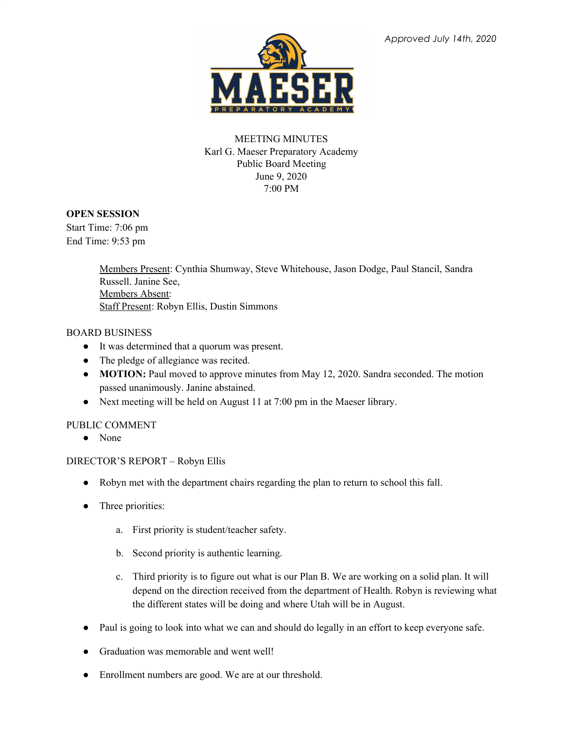

# MEETING MINUTES Karl G. Maeser Preparatory Academy Public Board Meeting June 9, 2020 7:00 PM

### **OPEN SESSION**

Start Time: 7:06 pm End Time: 9:53 pm

> Members Present: Cynthia Shumway, Steve Whitehouse, Jason Dodge, Paul Stancil, Sandra Russell. Janine See, Members Absent: Staff Present: Robyn Ellis, Dustin Simmons

### BOARD BUSINESS

- It was determined that a quorum was present.
- The pledge of allegiance was recited.
- **MOTION:** Paul moved to approve minutes from May 12, 2020. Sandra seconded. The motion passed unanimously. Janine abstained.
- Next meeting will be held on August 11 at 7:00 pm in the Maeser library.

# PUBLIC COMMENT

• None

# DIRECTOR'S REPORT – Robyn Ellis

- Robyn met with the department chairs regarding the plan to return to school this fall.
- Three priorities:
	- a. First priority is student/teacher safety.
	- b. Second priority is authentic learning.
	- c. Third priority is to figure out what is our Plan B. We are working on a solid plan. It will depend on the direction received from the department of Health. Robyn is reviewing what the different states will be doing and where Utah will be in August.
- Paul is going to look into what we can and should do legally in an effort to keep everyone safe.
- Graduation was memorable and went well!
- Enrollment numbers are good. We are at our threshold.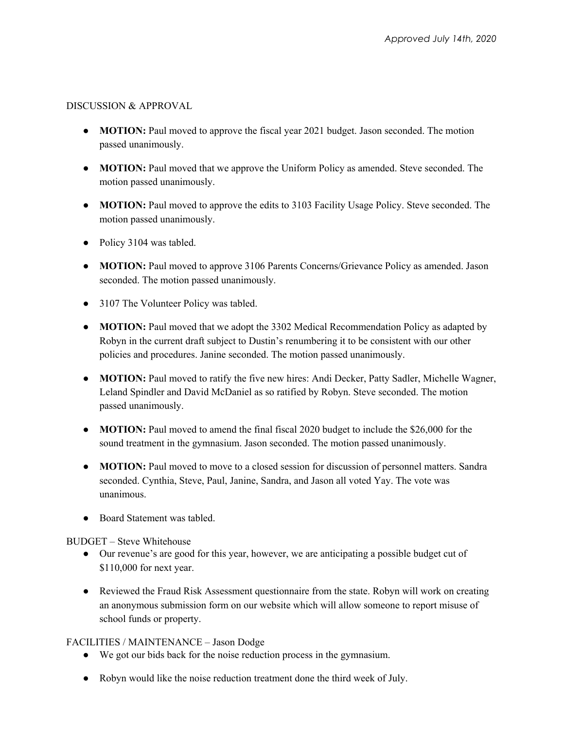### DISCUSSION & APPROVAL

- **MOTION:** Paul moved to approve the fiscal year 2021 budget. Jason seconded. The motion passed unanimously.
- **MOTION:** Paul moved that we approve the Uniform Policy as amended. Steve seconded. The motion passed unanimously.
- **MOTION:** Paul moved to approve the edits to 3103 Facility Usage Policy. Steve seconded. The motion passed unanimously.
- Policy 3104 was tabled.
- **MOTION:** Paul moved to approve 3106 Parents Concerns/Grievance Policy as amended. Jason seconded. The motion passed unanimously.
- 3107 The Volunteer Policy was tabled.
- **MOTION:** Paul moved that we adopt the 3302 Medical Recommendation Policy as adapted by Robyn in the current draft subject to Dustin's renumbering it to be consistent with our other policies and procedures. Janine seconded. The motion passed unanimously.
- **MOTION:** Paul moved to ratify the five new hires: Andi Decker, Patty Sadler, Michelle Wagner, Leland Spindler and David McDaniel as so ratified by Robyn. Steve seconded. The motion passed unanimously.
- **MOTION:** Paul moved to amend the final fiscal 2020 budget to include the \$26,000 for the sound treatment in the gymnasium. Jason seconded. The motion passed unanimously.
- **MOTION:** Paul moved to move to a closed session for discussion of personnel matters. Sandra seconded. Cynthia, Steve, Paul, Janine, Sandra, and Jason all voted Yay. The vote was unanimous.
- Board Statement was tabled.

# BUDGET – Steve Whitehouse

- Our revenue's are good for this year, however, we are anticipating a possible budget cut of \$110,000 for next year.
- Reviewed the Fraud Risk Assessment questionnaire from the state. Robyn will work on creating an anonymous submission form on our website which will allow someone to report misuse of school funds or property.

# FACILITIES / MAINTENANCE – Jason Dodge

- We got our bids back for the noise reduction process in the gymnasium.
- Robyn would like the noise reduction treatment done the third week of July.